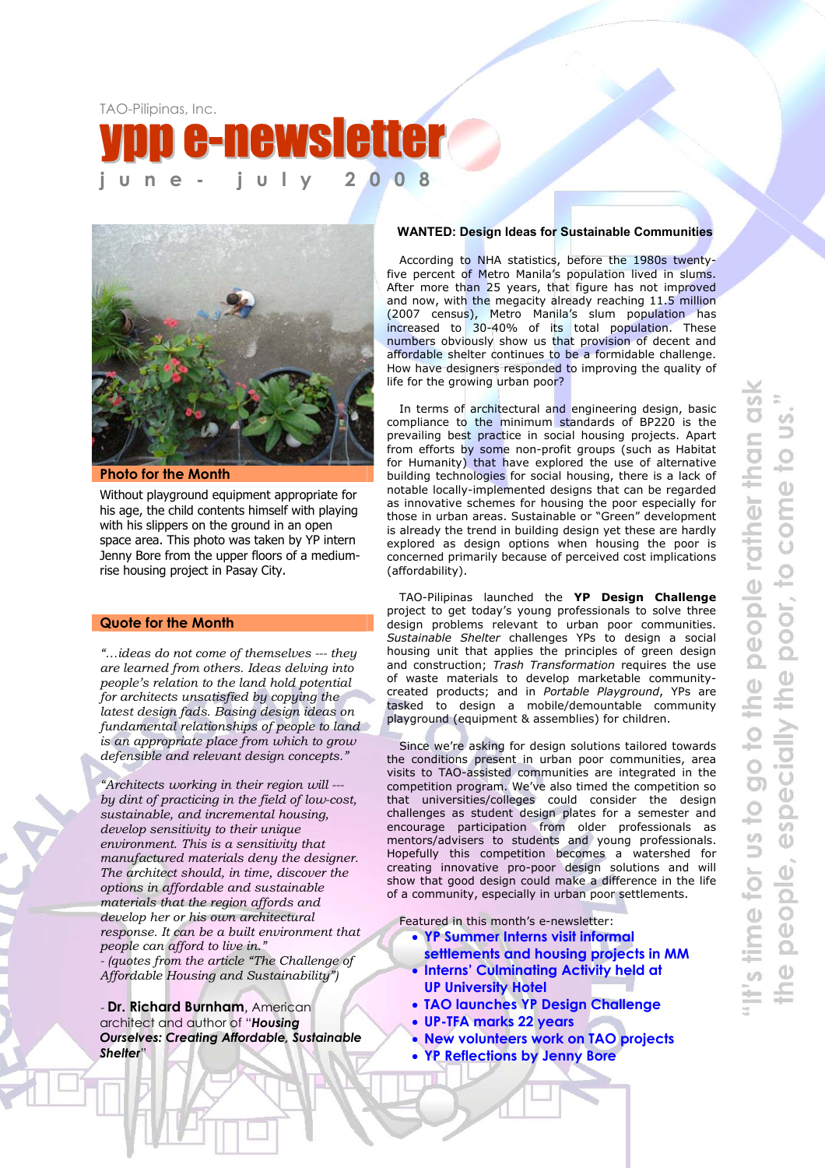



**Photo for the Month** 

Without playground equipment appropriate for his age, the child contents himself with playing with his slippers on the ground in an open space area. This photo was taken by YP intern Jenny Bore from the upper floors of a mediumrise housing project in Pasay City.

#### **Quote for the Month**

*"…ideas do not come of themselves --- they are learned from others. Ideas delving into people's relation to the land hold potential for architects unsatisfied by copying the latest design fads. Basing design ideas on fundamental relationships of people to land is an appropriate place from which to grow defensible and relevant design concepts."* 

*"Architects working in their region will -- by dint of practicing in the field of low-cost, sustainable, and incremental housing, develop sensitivity to their unique environment. This is a sensitivity that manufactured materials deny the designer. The architect should, in time, discover the options in affordable and sustainable materials that the region affords and develop her or his own architectural response. It can be a built environment that people can afford to live in." - (quotes from the article "The Challenge of Affordable Housing and Sustainability")* 

*-* **Dr. Richard Burnham***,* American architect and author of "*Housing Ourselves: Creating Affordable, Sustainable Shelter*"

#### **WANTED: Design Ideas for Sustainable Communities**

According to NHA statistics, before the 1980s twentyfive percent of Metro Manila's population lived in slums. After more than 25 years, that figure has not improved and now, with the megacity already reaching 11.5 million (2007 census), Metro Manila's slum population has increased to 30-40% of its total population. These numbers obviously show us that provision of decent and affordable shelter continues to be a formidable challenge. How have designers responded to improving the quality of life for the growing urban poor?

In terms of architectural and engineering design, basic compliance to the minimum standards of BP220 is the prevailing best practice in social housing projects. Apart from efforts by some non-profit groups (such as Habitat for Humanity) that have explored the use of alternative building technologies for social housing, there is a lack of notable locally-implemented designs that can be regarded as innovative schemes for housing the poor especially for those in urban areas. Sustainable or "Green" development is already the trend in building design yet these are hardly explored as design options when housing the poor is concerned primarily because of perceived cost implications (affordability).

TAO-Pilipinas launched the **YP Design Challenge** project to get today's young professionals to solve three design problems relevant to urban poor communities. *Sustainable Shelter* challenges YPs to design a social housing unit that applies the principles of green design and construction; *Trash Transformation* requires the use of waste materials to develop marketable communitycreated products; and in *Portable Playground*, YPs are tasked to design a mobile/demountable community playground (equipment & assemblies) for children.

Since we're asking for design solutions tailored towards the conditions present in urban poor communities, area visits to TAO-assisted communities are integrated in the competition program. We've also timed the competition so that universities/colleges could consider the design challenges as student design plates for a semester and encourage participation from older professionals as mentors/advisers to students and young professionals. Hopefully this competition becomes a watershed for creating innovative pro-poor design solutions and will show that good design could make a difference in the life of a community, especially in urban poor settlements.

Featured in this month's e-newsletter:

- **YP Summer Interns visit informal** 
	- **settlements and housing projects in MM**  • **Interns' Culminating Activity held at**
	- **UP University Hotel**
	- **TAO launches YP Design Challenge**
	- **UP-TFA marks 22 years**
	- **New volunteers work on TAO projects**
	- **YP Reflections by Jenny Bore**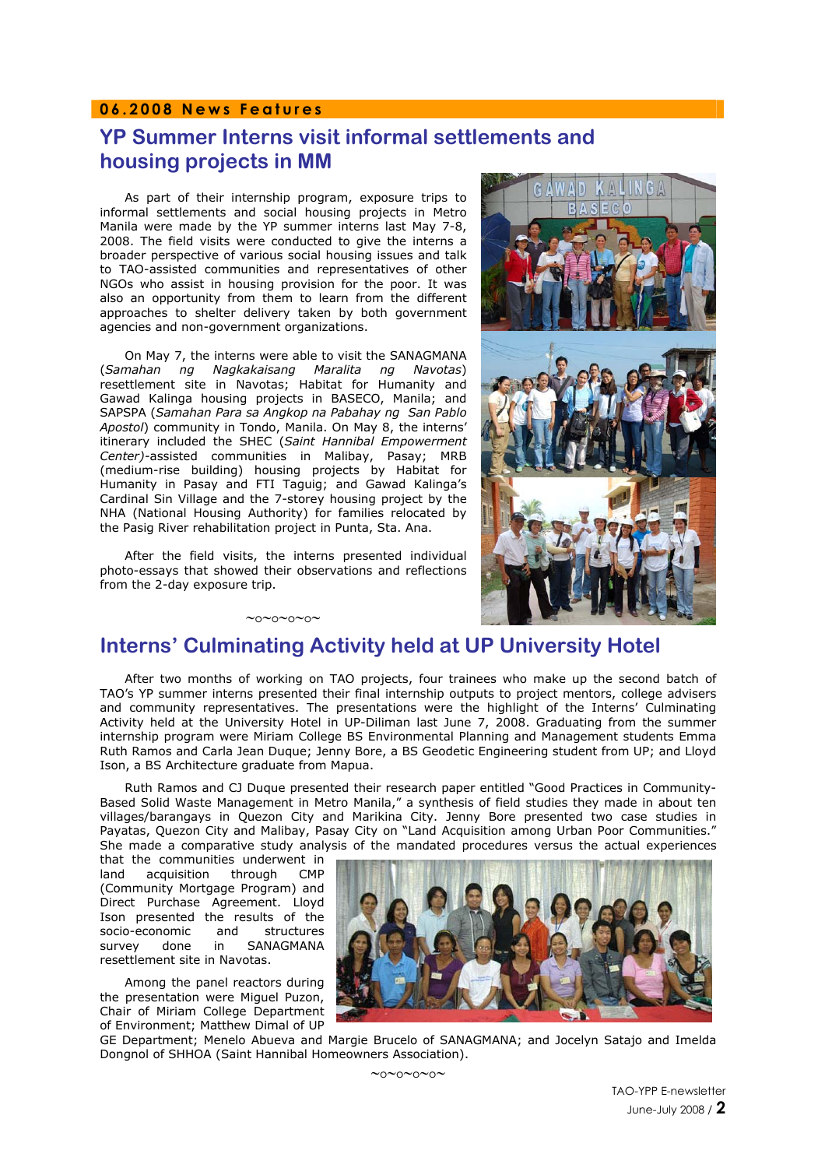## **06.2008 News Features**

# **YP Summer Interns visit informal settlements and housing projects in MM**

As part of their internship program, exposure trips to informal settlements and social housing projects in Metro Manila were made by the YP summer interns last May 7-8, 2008. The field visits were conducted to give the interns a broader perspective of various social housing issues and talk to TAO-assisted communities and representatives of other NGOs who assist in housing provision for the poor. It was also an opportunity from them to learn from the different approaches to shelter delivery taken by both government agencies and non-government organizations.

On May 7, the interns were able to visit the SANAGMANA (*Samahan ng Nagkakaisang Maralita ng Navotas*) resettlement site in Navotas; Habitat for Humanity and Gawad Kalinga housing projects in BASECO, Manila; and SAPSPA (*Samahan Para sa Angkop na Pabahay ng San Pablo Apostol*) community in Tondo, Manila. On May 8, the interns' itinerary included the SHEC (*Saint Hannibal Empowerment Center)-*assisted communities in Malibay, Pasay; MRB (medium-rise building) housing projects by Habitat for Humanity in Pasay and FTI Taguig; and Gawad Kalinga's Cardinal Sin Village and the 7-storey housing project by the NHA (National Housing Authority) for families relocated by the Pasig River rehabilitation project in Punta, Sta. Ana.

After the field visits, the interns presented individual photo-essays that showed their observations and reflections from the 2-day exposure trip.

∼o∼o∼o∼o∼





## **Interns' Culminating Activity held at UP University Hotel**

After two months of working on TAO projects, four trainees who make up the second batch of TAO's YP summer interns presented their final internship outputs to project mentors, college advisers and community representatives. The presentations were the highlight of the Interns' Culminating Activity held at the University Hotel in UP-Diliman last June 7, 2008. Graduating from the summer internship program were Miriam College BS Environmental Planning and Management students Emma Ruth Ramos and Carla Jean Duque; Jenny Bore, a BS Geodetic Engineering student from UP; and Lloyd Ison, a BS Architecture graduate from Mapua.

Ruth Ramos and CJ Duque presented their research paper entitled "Good Practices in Community-Based Solid Waste Management in Metro Manila," a synthesis of field studies they made in about ten villages/barangays in Quezon City and Marikina City. Jenny Bore presented two case studies in Payatas, Quezon City and Malibay, Pasay City on "Land Acquisition among Urban Poor Communities." She made a comparative study analysis of the mandated procedures versus the actual experiences

that the communities underwent in land acquisition through CMP (Community Mortgage Program) and Direct Purchase Agreement. Lloyd Ison presented the results of the socio-economic and structures survey done in SANAGMANA resettlement site in Navotas.

Among the panel reactors during the presentation were Miguel Puzon, Chair of Miriam College Department of Environment; Matthew Dimal of UP



GE Department; Menelo Abueva and Margie Brucelo of SANAGMANA; and Jocelyn Satajo and Imelda Dongnol of SHHOA (Saint Hannibal Homeowners Association).

∼o∼o∼o∼o∼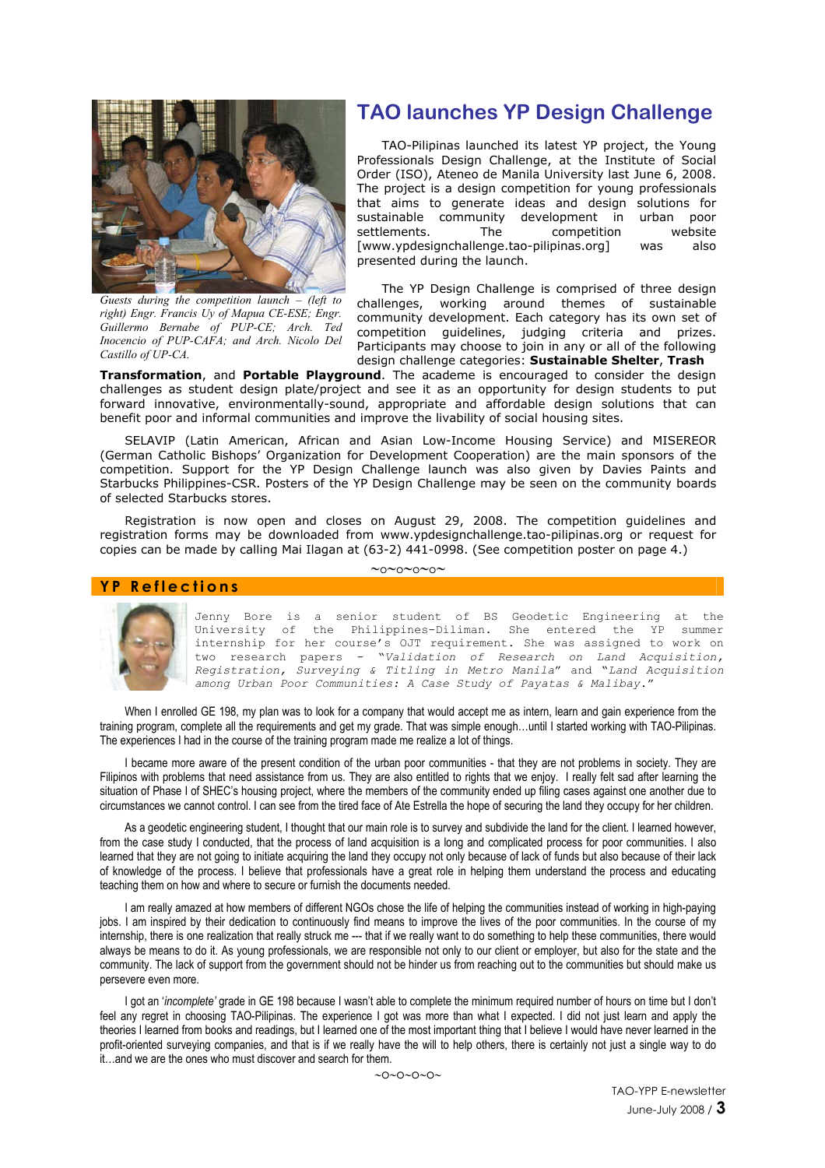

*Guests during the competition launch – (left to right) Engr. Francis Uy of Mapua CE-ESE; Engr. Guillermo Bernabe of PUP-CE; Arch. Ted Inocencio of PUP-CAFA; and Arch. Nicolo Del Castillo of UP-CA.* 

# **TAO launches YP Design Challenge**

TAO-Pilipinas launched its latest YP project, the Young Professionals Design Challenge, at the Institute of Social Order (ISO), Ateneo de Manila University last June 6, 2008. The project is a design competition for young professionals that aims to generate ideas and design solutions for sustainable community development in urban poor settlements. The competition website [www.ypdesignchallenge.tao-pilipinas.org] was also presented during the launch.

The YP Design Challenge is comprised of three design challenges, working around themes of sustainable community development. Each category has its own set of competition guidelines, judging criteria and prizes. Participants may choose to join in any or all of the following design challenge categories: **Sustainable Shelter**, **Trash**

**Transformation**, and **Portable Playground**. The academe is encouraged to consider the design challenges as student design plate/project and see it as an opportunity for design students to put forward innovative, environmentally-sound, appropriate and affordable design solutions that can benefit poor and informal communities and improve the livability of social housing sites.

SELAVIP (Latin American, African and Asian Low-Income Housing Service) and MISEREOR (German Catholic Bishops' Organization for Development Cooperation) are the main sponsors of the competition. Support for the YP Design Challenge launch was also given by Davies Paints and Starbucks Philippines-CSR. Posters of the YP Design Challenge may be seen on the community boards of selected Starbucks stores.

Registration is now open and closes on August 29, 2008. The competition guidelines and registration forms may be downloaded from www.ypdesignchallenge.tao-pilipinas.org or request for copies can be made by calling Mai Ilagan at (63-2) 441-0998. (See competition poster on page 4.)

∼o∼o∼o∼o∼

#### **YP Reflections**



Jenny Bore is a senior student of BS Geodetic Engineering at the University of the Philippines-Diliman. She entered the YP summer internship for her course's OJT requirement. She was assigned to work on two research papers - "*Validation of Research on Land Acquisition, Registration, Surveying & Titling in Metro Manila*" and "*Land Acquisition among Urban Poor Communities: A Case Study of Payatas & Malibay*."

When I enrolled GE 198, my plan was to look for a company that would accept me as intern, learn and gain experience from the training program, complete all the requirements and get my grade. That was simple enough…until I started working with TAO-Pilipinas. The experiences I had in the course of the training program made me realize a lot of things.

I became more aware of the present condition of the urban poor communities - that they are not problems in society. They are Filipinos with problems that need assistance from us. They are also entitled to rights that we enjoy. I really felt sad after learning the situation of Phase I of SHEC's housing project, where the members of the community ended up filing cases against one another due to circumstances we cannot control. I can see from the tired face of Ate Estrella the hope of securing the land they occupy for her children.

As a geodetic engineering student, I thought that our main role is to survey and subdivide the land for the client. I learned however, from the case study I conducted, that the process of land acquisition is a long and complicated process for poor communities. I also learned that they are not going to initiate acquiring the land they occupy not only because of lack of funds but also because of their lack of knowledge of the process. I believe that professionals have a great role in helping them understand the process and educating teaching them on how and where to secure or furnish the documents needed.

I am really amazed at how members of different NGOs chose the life of helping the communities instead of working in high-paying jobs. I am inspired by their dedication to continuously find means to improve the lives of the poor communities. In the course of my internship, there is one realization that really struck me --- that if we really want to do something to help these communities, there would always be means to do it. As young professionals, we are responsible not only to our client or employer, but also for the state and the community. The lack of support from the government should not be hinder us from reaching out to the communities but should make us persevere even more.

I got an '*incomplete'* grade in GE 198 because I wasn't able to complete the minimum required number of hours on time but I don't feel any regret in choosing TAO-Pilipinas. The experience I got was more than what I expected. I did not just learn and apply the theories I learned from books and readings, but I learned one of the most important thing that I believe I would have never learned in the profit-oriented surveying companies, and that is if we really have the will to help others, there is certainly not just a single way to do it…and we are the ones who must discover and search for them.

∼o∼o∼o∼o∼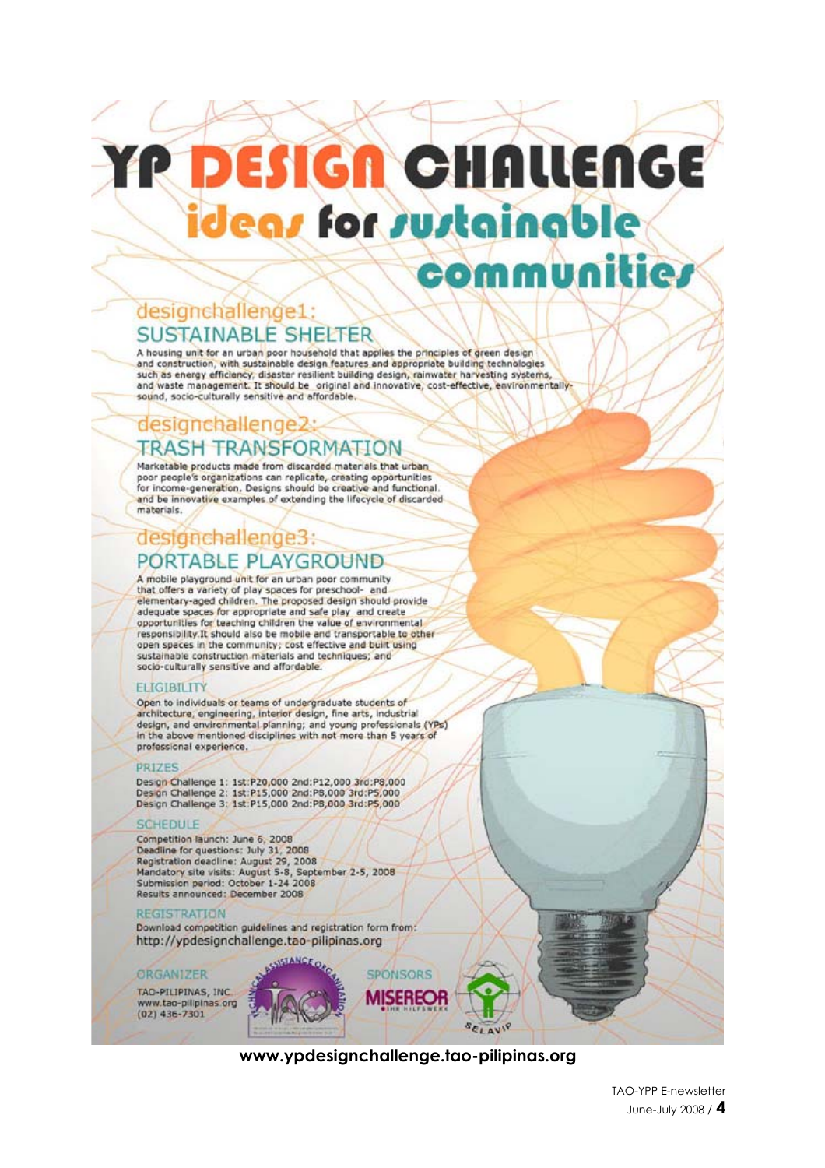# **DESIGN CHALLENGE** ideas for sustainable

communi

# designchallenge1: **SUSTAINABLE SHELTER**

A housing unit for an urban poor household that applies the principles of green design and construction, with sustainable design features and appropriate building technologies such as energy efficiency, disaster resilient building design, rainwater harvesting systems, and waste management. It should be original and innovative, cost-effective, environmentallysound, socio-culturally sensitive and affordable.

## designchallenge2: **TRASH TRANSFORMATION**

Marketable products made from discarded materials that urban poor people's organizations can replicate, creating opportunities<br>for income-generation, Designs should be creative and functional. and be innovative examples of extending the lifecycle of discarded materials.

# designchallenge3: PORTABLE PLAYGROUND

A mobile playground unit for an urban poor community that offers a variety of play spaces for preschool- and elementary-aged children. The proposed design should provide adequate spaces for appropriate and safe play and create opportunities for teaching children the value of environmental responsibility. It should also be mobile and transportable to other open spaces in the community; cost effective and built using sustainable construction materials and techniques; and socio-culturally sensitive and affordable.

## **ELIGIBILITY**

Open to individuals or teams of undergraduate students of<br>architecture, engineering, interior design, fine arts, industrial<br>design, and environmental planning; and young professionals (YPs) in the above mentioned disciplines with not more than 5 years of professional experience.

#### **PRIZES**

Design Challenge 1: 1st:P20,000 2nd:P12,000 3rd:P8,000 Design Challenge 2: 1st:P15,000 2nd:P8,000 3rd:P5,000 Design Challenge 3: 1st:P15,000 2nd:P8,000 3rd:P5,000

#### **SCHEDULE**

Competition launch: June 6, 2008 Deadline for questions: July 31, 2008 Registration deadline: August 29, 2008 Mandatory site visits: August 5-8, September 2-5, 2008 Submission period: October 1-24 2008 Results announced: December 2008

#### **REGISTRATION**

Download competition guidelines and registration form from: http://ypdesignchallenge.tao-pilipinas.org

#### **ORGANIZER**

TAO-PILIPINAS, INC. www.tao-pilipinas.org  $(02)$  436-7301



## www.vpdesianchallenge.tao-pilipings.org

SELAVIP

**SPONSORS** 

**MISEREOF** 

lie